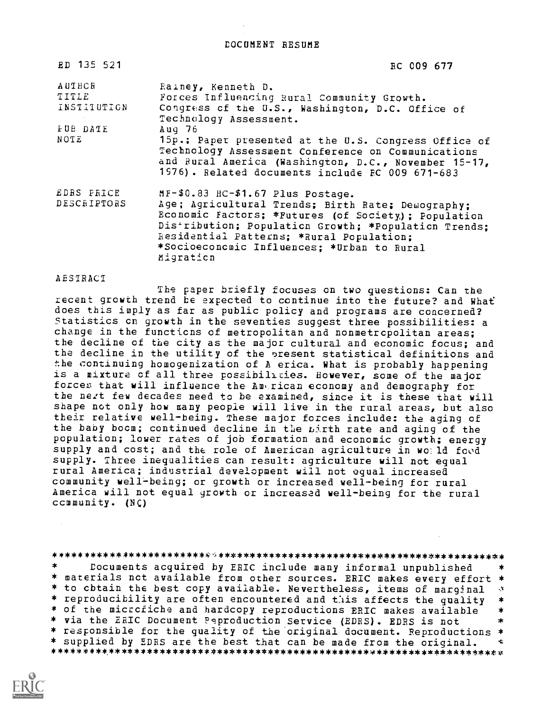DOCUMENT RESUME

| ED 135 521                     | RC 009 677                                                                                                                                                                                                                                                                                                   |
|--------------------------------|--------------------------------------------------------------------------------------------------------------------------------------------------------------------------------------------------------------------------------------------------------------------------------------------------------------|
| AUTHCR<br>TITLE<br>INSTITUTION | Rainey, Kenneth D.<br>Forces Influencing Rural Community Growth.<br>Congress of the U.S., Washington, D.C. Office of<br>Technology Assessment.                                                                                                                                                               |
| FUE DATE<br>NOTE               | Aug $76$<br>15p.; Paper presented at the U.S. Congress Office of<br>Technology Assessment Conference on Communications<br>and Rural America (Washington, D.C., November 15-17,<br>1976). Related documents include FC 009 671-683                                                                            |
| EDRS PRICE<br>DESCRIPTORS      | MF-\$0.83 HC-\$1.67 Plus Postage.<br>Age; Agricultural Trends; Birth Rate; Demography;<br>Economic Factors; *Futures (of Society); Population<br>Distribution; Population Growth; *Population Trends;<br>Residential Patterns; *Rural Population;<br>*Socioeconcmic Influences; *Urban to Rural<br>Migration |

#### ABSIRAC1

The paper briefly focuses on two questions: Can the recent growth trend be expected to continue into the future? and Whaf does this imply as far as public policy and programs are concerned?<br>Statistics on growth in the seventies suggest three possibilities: a change in the functicns of metropolitan and nonmetropolitan areas; the decline of the city as the major cultural and economic focus; and the decline in the utility of the present statistical definitions and the continuing homogenization of A erica. What is probably happening is a mixture of all three possibilities. However, some of the major forces that will influence the. Ami.rican economy and demography for the next few decades need to be examined, since it is these that will shape not only how many people will live in the rural areas, but also their relative well-being. These major forces include: the aging of the baby boom; continued decline in the birth rate and aging of the population; lower rates of job formation and economic growth; energy supply and cost; and the role of American agriculture in wo: ld food supply. Three inequalities can result: agriculture will not equal rural America; industrial development will not equal increased community welI-being; or growth or increased well-being for rural America will not equal growth or increased well-being for the rural ccmmunity. (NC)

#### \*\*\*\*\*\*\*\*\*\*\*\*\*\*\*\*\*\*\*\*\*\*\*\*\*\*\*\*\*\*\*\*\*\*\*\*\*\*\*\*\*\*\*\*\*\*\*\*\*\*\*\*\*\*\*\*\*\*\*\*\*\*\*\*\*\*\*\*\*\* Documents acquired by ERIC include many informal unpublished  $\ast$ \* materials nct available from other sources. ERIC makes every effort \* \* to cbtain the best copy available. Nevertheless, items of marginal \* \* reproducibility are often encountered and this affects the quality \*<br>\* of the microfiche and hardcopy reproductions ERIC makes available \* \* via the ERIC Document Peproduction Service (EDRS). EDRS is not \* \* responsible for the quality of the original document. Reproductions \*  $\ddot{\phantom{0}}$

\* supplied by EDRS are the best that can be made from the original.

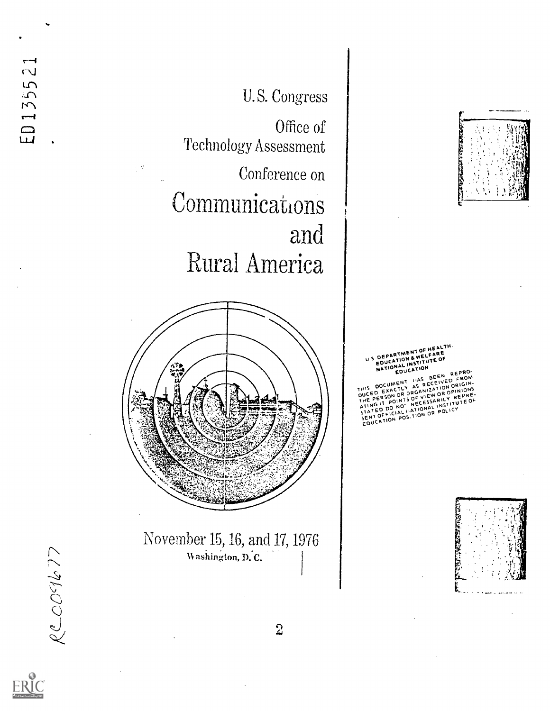U S DEPARTMENT OF HEALTH.<br>U S DEPARTION & WELFARE EDUCATION & TITUTE OF DEPARTMENT OF HEALTH NATION COUCATION EDUCATION REPP THIS DOCUMETLY AS NECT IAS BEEN REPRO-THIS DOCUMENT HAS BECHVED FROM.<br>THIS DOCUMENT AS RECEIVED ORIGIN.<br>DUCED EXACTLY AS RILLATION ORIGINIONS<br>DUCEDERSON OR COEVIEW OR V REPRE. JUCED ECON OR DRUGING OR OPHEPRE-<br>THE PERSON OF VIEW OR OPHEPRE-ORIGIN-JUCED EXANDR ORGANIEW OR OPINIONS.<br>THE PERSON OR OF VIEW OR OPINIONS.<br>ATING IT POINCE NECESSARILY REPRE-ATING IN DO NO NECESSARING THE POLICY REPRE-STATED OUTCIAL INATIONAL POLICY RILTITUTE OF TATED PICIAL HATION OR POLICY



## U.S. Congress

Office of Technology Assessment

Conference on

Communications and Rural America



November 15, 16, and 17, 1976 Washington, D.C.



**N** 

ED 1355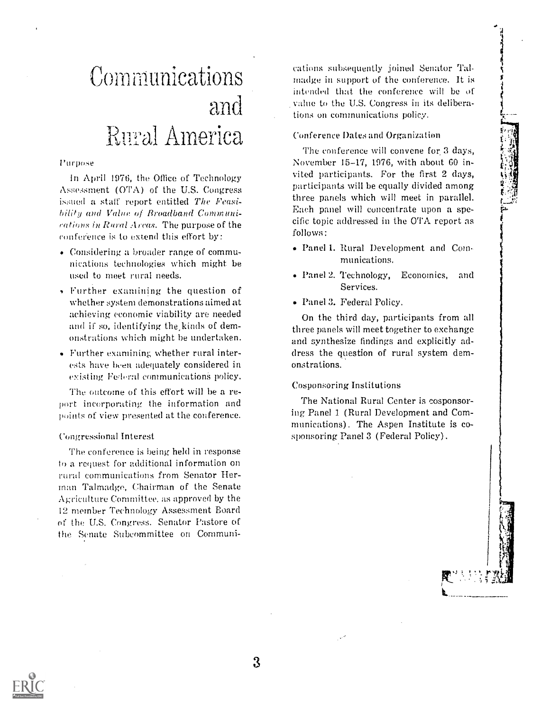# **Communications** and Rural America

Purpose

In April 1976, the Office of Technology Assessment (OTA) of the U.S. Congress issued a staff report entitled The Feasibility and Value of Broadband Communications in Rural Areas. The purpose of the conference is to extend this effort by:

- Considering a broader range of communications technologies which might be used to meet rural needs.
- Further examining the question of whether system demonstrations aimed at achieving economic viability are needed and if so, identifying the kinds of demonstrations which might be undertaken.
- Further examining whether rural interests have been adequately considered in existing Federal communications policy.

The outcome of this effort will be a report incorporating the information and points of view presented at the conference.

#### Congressional Interest

The conference is being held in response to a request for additional information on rural communications from Senator Herrnan Talmadge, Chairman of the Senate Agriculture Committee, as approved by the 12 member Technology Assessment Board of the U.S. Congress. Senator Pastore of the Senate Subcommittee on Cornmuni-

cations subsequently joined Senator Talmadge in support of the conference, It is intended that the conference will be of value to the U.S. Congress in its deliberations on communications policy.

Conference Dates and Organization

The conference will convene for 3 days, November 15-17, 1976, with about 60 invited participants. For the first 2 days, participants will be equally divided among three panels which will meet in parallel. Each panel will concentrate upon a specific topic addressed in the OTA report as follows:

- Panel 1. Rural Development and Communications,
- Panel 2. Technology, Economics, and Services.
- Panel 3. Federal Policy.

On the third day, participants from all three panels will meet together to exchange and synthesize findings and explicitly address the question of rural system demonstrations.

#### Cosponsoring Institutions

The National Rural Center is cosponsoring Panel 1 (Rural Development and Communications). The Aspen Institute is cosponsoring Panel 3 (Federal Policy).

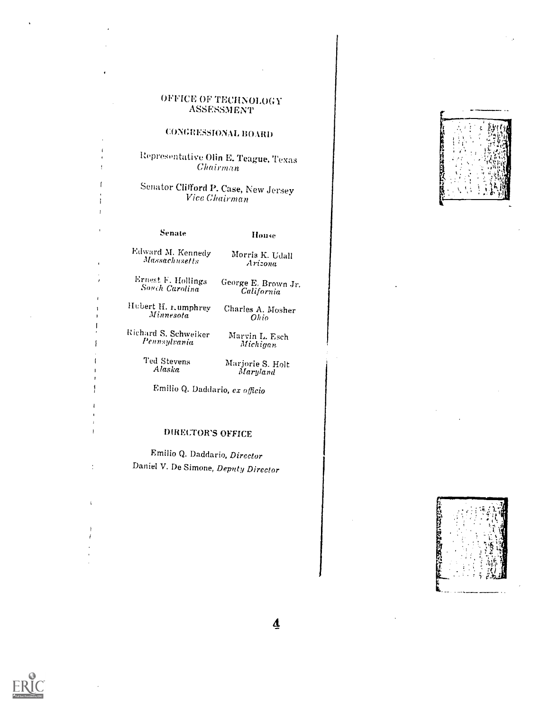#### OFFICE OF TECHNOLOGY ASSESSMENT

#### CONGRESSIONAL BOARD

I opresen tative Olin E. Teague, Texas Chairman

Senator Clifford P. Case, New Jersey<br>Vice Chairman

ł

÷

#### Senate **If**ouse

Edward M. Kennedy Morris K. Udall  $Massachusetts$ 

Arizona

Ernest. F. Hollings George E. Brown Jr. Sonch Carolina California

Hubert H. <sub>Lumphrey</sub> Minnesota

Richard S. Schweiker Pennsylvania

Marvin L. Esch Michigan

Charles A. Mosher Ohio

Ted Stevens Alaska

Marjorie S. Holt<br>Maryland

Emilio Q. Daddario, ex officio

### DIRECTOR'S OFFICE

Emilio Q. Daddario, Director Daniel V. De Simone, Depnty Director





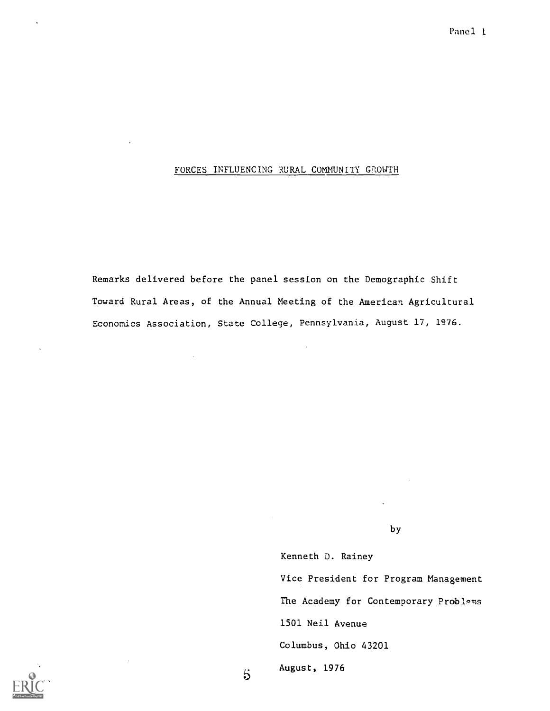#### FORCES INFLUENCING RURAL COMMUNITY GROWTH

Remarks delivered before the panel session on the Demographic Shift Toward Rural Areas, of the Annual Meeting of the American Agricultural Economics Association, State College, Pennsylvania, August 17, 1976.

by

Kenneth D. Rainey

Vice President for Program Management The Academy for Contemporary Problems 1501 Neil Avenue Columbus, Ohio 43201 August, 1976



 $\overline{5}$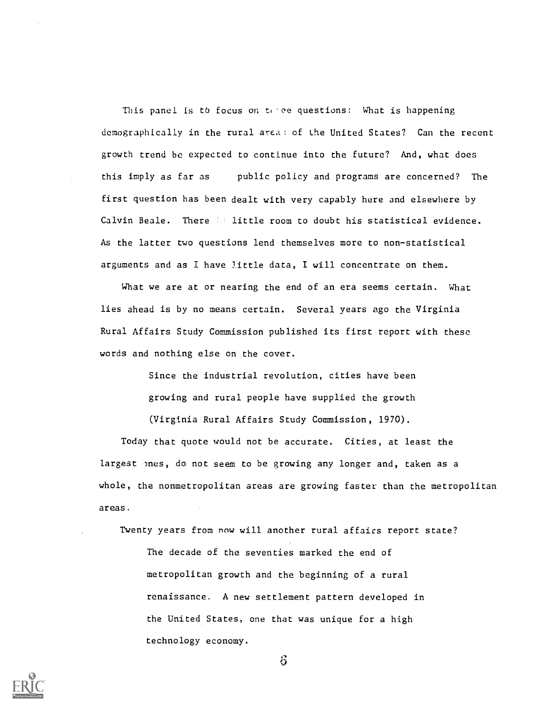This panel is to focus on  $t_1$  ee questions: What is happening demographically in the rural area: of the United States? Can the recent growth trend be expected to continue into the future? And, what does this imply as far as public policy and programs are concerned? The first question has been dealt with very capably here and elsewhere by Calvin Beale. There is little room to doubt his statistical evidence. As the latter two questions lend themselves more to non-statistical arguments and as I have little data, I will concentrate on them.

What we are at or nearing the end of an era seems certain. What lies ahead is by no means certain. Several years ago the Virginia Rural Affairs Study Commission published its first report with these words and nothing else on the cover.

> Since the industrial revolution, cities have been growing and rural people have supplied the growth

(Virginia Rural Affairs Study Commission, 1970).

Today that quote would not be accurate. Cities, at least the largest ones, do not seem to be growing any longer and, taken as a whole, the nonmetropolitan areas are growing faster than the metropolitan areas.

Twenty years from now will another rural affairs report state?

The decade of the seventies marked the end of metropolitan growth and the beginning of a rural renaissance. A new settlement pattern developed in the United States, one that was unique for a high technology economy.



 $\ddot{\circ}$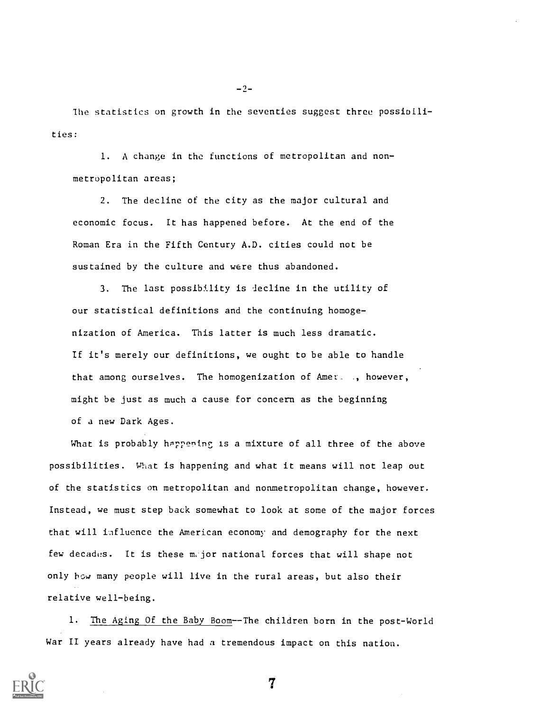lhe statistics on growth in the seventies suggest three possioilities:

1. A change in the functions of metropolitan and nonmetropolitan areas;

2. The decline of the city as the major cultural and economic focus. It has happened before. At the end of the Roman Era in the Fifth Century A.D. cities could not be sustained by the culture and were thus abandoned.

3. The last possibility is lecline in the utility of our statistical definitions and the continuing homogenization of America. This latter is much less dramatic. If it's merely our definitions, we ought to be able to handle that among ourselves. The homogenization of Amer\_ , however, might be just as much a cause for concern as the beginning of a new Dark Ages.

What is probably happening is a mixture of all three of the above possibilities. What is happening and what it means will not leap out of the statistics on metropolitan and nonmetropolitan change, however. Instead, we must step back somewhat to look at some of the major forces that will iafluence the American economy and demography for the next few decades. It is these m,jor national forces that will shape not only bow many people will live in the rural areas, but also their relative well-being.

1. The Aging Of the Baby Boom--The children born in the post-World War II years already have had a tremendous impact on this nation.



 $-2-$ 

 $\overline{7}$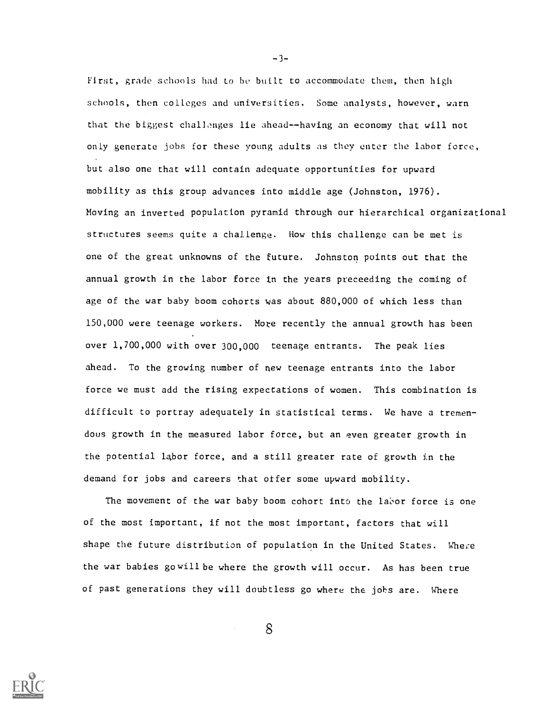First, grade schools had to be built to accommodate them, then high schools, then colleges and universities. Some analysts, however, warn that the biggest challenges lie ahead--having an economy that will not only generate jobs for these young adults as they enter the labor force, but also one that will contain adequate opportunities for upward mobility as this group advances into middle age (Johnston, 1976). Moving an inverted population pyramid through our hierarchical organizational structures seems quite a challenge. How this challenge can be met is one of the great unknowns of the future. Johnston points out that the annual growth in the labor force in the years preceeding the coming of age of the war baby boom cohorts was about 880,000 of which less than 150,000 were teenage workers. More recently the annual growth has been over 1,700,000 with over 300,000 teenage entrants. The peak lies ahead. To the growing number of new teenage entrants into the labor force we must add the rising expectations of women. This combination is difficult to portray adequately in statistical terms. We have a tremendous growth in the measured labor force, but an even greater growth in the potential labor force, and a still greater rate of growth in the demand for jobs and careers that otfer some upward mobility.

The movement of the war baby boom cohort into the labor force is one of the most important, if not the most important, factors that will shape the future distribution of population in the United States. Where the war babies gowill be where the growth will occur. As has been true of past generations they will doubtless go where the jobs are. Where

8



 $-3-$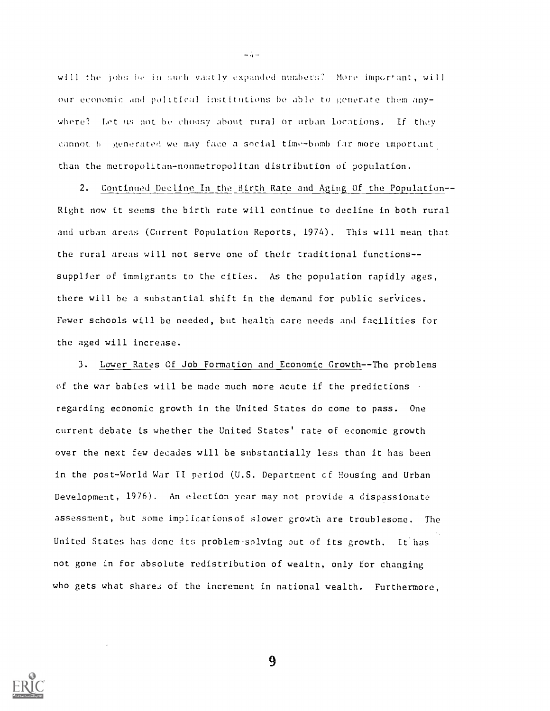will the jobs be in such vastly expanded numbers? More important, will our economic and political institutions be able to generate them anywhere? Let us not be choosy about rural or urban locations. If they cannot b generated we may face a social time-bomb far more important. than the metropolitan-nonmetropolitan distribution of population.

 $-$  4  $-$ 

2. Continued Decline In the Birth Rate and Aging Of the Population--Right now it seems the birth rate will continue to decline in both rural and urban areas (Current Population Reports, 1974). This will mean that the rural areas will not serve one of their traditional functions- supplier of immigrants to the cities. As the population rapidly ages, there will be a substantial shift in the demand for public services. Fewer schools will be needed, but health care needs and facilities for the aged will increase.

3. Lower Rates Of Job Formation and Economic Growth--The problems of the war babies will be made much more acute if the predictions regarding economic growth in the United States do come to pass. One current debate is whether the United States' rate of economic growth over the next few decades will be substantially less than it has been in the post-World War II period (U.S. Department cf Housing and Urban Development, 1976). An election year may not provide a dispassionate assessment, but some implicarionsof slower growth are troublesome. The United States has done its problem-solving out of its growth. It has not gone in for absolute redistribution of wealth, only for changing who gets what shares of the increment in national wealth. Furthermore,

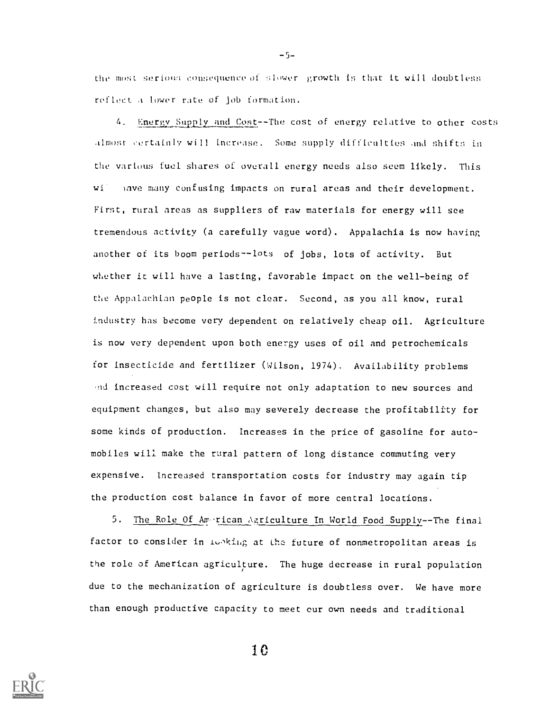the most serious consequence of slower growth is that it will doubtless reflect a tower rate of job formation.

4. Energy Supply and Cost--The cost of energy relative to other costs almost- certainly will increase. Some supply difficulties and shifts in the various fuel shares of overall energy needs also seem likely. This wi. Have many confusing impacts on rural areas and their development. First, rural areas as suppliers of raw materials for energy will see tremenduus activity (a carefully vague word). Appalachia is now having another of its boom periods--lots of jobs, lots of activity. But whether it will have a lasting, favorable impact on the well-being of the Appalachian people is not clear. Second, as you all know, rural industry has become very dependent on relatively cheap oil. Agriculture is now very dependent upon both energy uses of oil and petrochemicals for insecticide and fertilizer (Wilson, 1974). Availability problems and increased cost will require not only adaptation to new sources and equipment changes, but also may severely decrease the profitability for some kinds of production. Increases in the price of gasoline for automobiles will make the rural pattern of long distance commuting very expensive. Increased transportation costs for industry may again tip the production cost balance in favor of more central locations.

5. The Role Of American Agriculture In World Food Supply--The final factor to consider in idoking at the future of nonmetropolitan areas is the role of American agriculture. The huge decrease in rural population due to the mechanization of agriculture is doubtless over. We have more than enough productive capacity to meet cur own needs and traditional



10

 $-5-$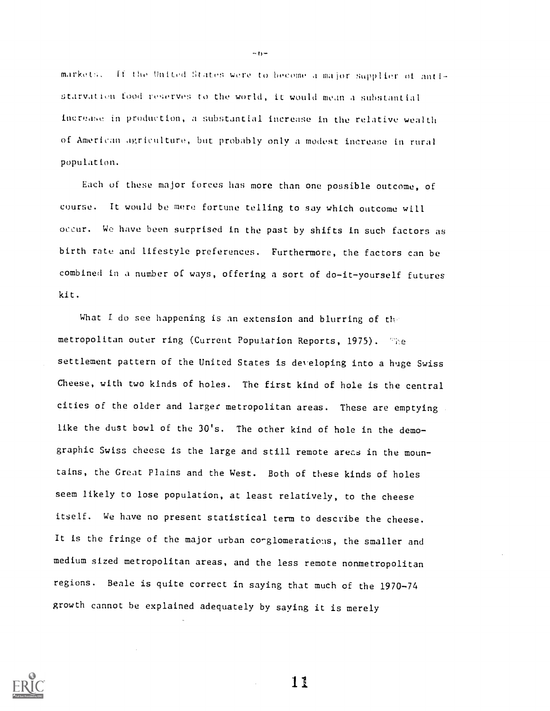markets. If the United States were to become a major supplier of antistarvation food reserves to the world, it would mean a substantial increase in production, a substantial increase in the relative wealth of American agriculture, but probably only a modest increase in rural population.

Each of these major forces has more than one possible outcome, of course. It would be mere fortune telling to say which outcome will occur. We have been surprised in the past by shifts in such factors as birth rate and lifestyle preferences. Furthermore, the factors can be combined in a number of ways, offering a sort of do-it-yourself futures kit.

What I do see happening is an extension and blurring of the metropolitan outer ring (Current Population Reports, 1975). The settlement pattern of the United States is developing into a huge Swiss Cheese, with two kinds of holes. The first kind of hole is the central cities of the older and larger metropolitan areas. These are emptying like the dust bowl of the 30's. The other kind of hole in the demographic Swiss cheese is the large and still remote arecs in the mountains, the Great Plains and the West. Both of these kinds of holes seem likely to lose population, at least relatively, to the cheese itself. We have no present statistical term to describe the cheese. It is the fringe of the major urban co-glomerations, the smaller and medium sized metropolitan areas, and the less remote nonmetropolitan regions. Beale is quite correct in saying that much of the 1970-74 growth cannot be explained adequately by saying it is merely



 $-1$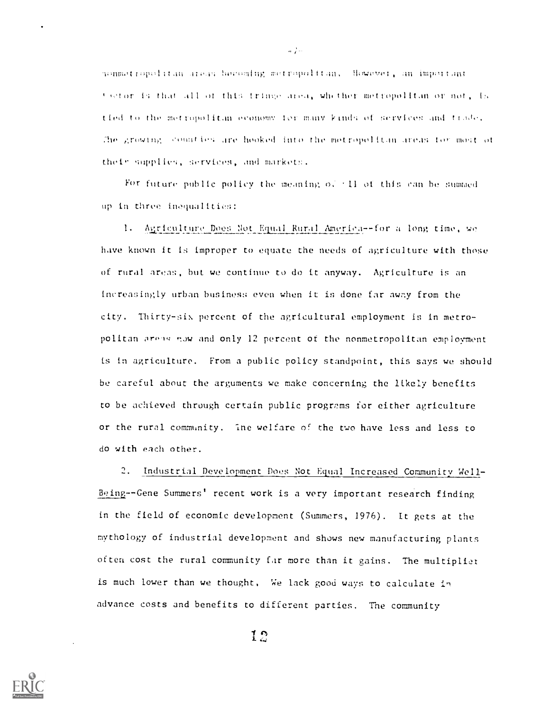monmetropolitan areas becoming metropolitan, However, an important wetor is that All of this tringe Azea, whether metropolitan or not, is tied to the metropolitan economy for many kinds of services and trade, The growthy, sounties are hooked into the metropolitan areas tor most of their supplies, services, and markets.

For future public policy the meaning  $\sigma$ . 11 of this can be summed up in three inequalities:

1. Agriculture Does Not Equal Rural America--for a long time, we have known it is improper to equate the needs of agriculture with those of rural areas, but we continue to do it anyway. Agriculture is an increasingly urban business even when it is done far away from the city. Thirty-six percent of the agricultural employment is in metropolitan areas now and only 12 percent of the nonmetropolitan employment is in agriculture. From a public policy standpoint, this says we should be careful about the arguments we make concerning the likely benefits to be achieved through certain public programs for either agriculture or the rural community. Ine welfare of the two have less and less to do with each other.

2. Industrial Development Does Not Equal Increased Community Well-Being--Gene Summers' recent work is a very important research finding in the field of economic development (Summers, 1976). It gets at the mythology of industrial development and shows new manufacturing plants often cost the rural community far more than it gains. The multiplier is much lower than we thought, We lack good ways to calculate in advance costs and benefits to different parties. The community

12



 $\omega_{\rm eff}$  )  $\omega_{\rm f}$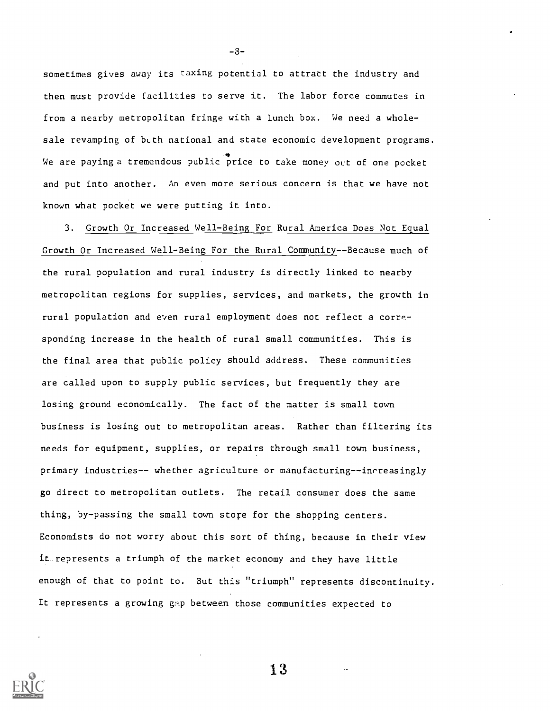sometimes gives away its taxing potential to attract the industry and then must provide facilities to serve it. The labor force commutes in from a nearby metropolitan fringe with a lunch box. We need a wholesale revamping of bcth national and state economic development programs. 4 We are paying a tremendous public price to take money out of one pocket and put into another. An even more serious concern is that we have not known what pocket we were putting it into.

-8-

3. Growth Or Increased Well-Being For Rural America Does Not Equal Growth Or Increased Well-Being For the Rural Community--Because much of the rural population and rural industry is directly linked to nearby metropolitan regions for supplies, services, and markets, the growth in rural population and even rural employment does not reflect a corresponding increase in the health of rural small communities. This is the final area that public policy should address. These communities are called upon to supply public services, but frequently they are losing ground economically. The fact of the matter is small town business is losing out to metropolitan areas. Rather than filtering its needs for equipment, supplies, or repairs through small town business, primary industries-- whether agriculture or manufacturing--inrreasingly go direct to metropolitan outlets. The retail consumer does the same thing, by-passing the small town store for the shopping centers. Economists do not worry about this sort of thing, because in their view it represents a triumph of the market economy and they have little enough of that to point to. But this "triumph" represents discontinuity. It represents a growing gmp between those communities expected to

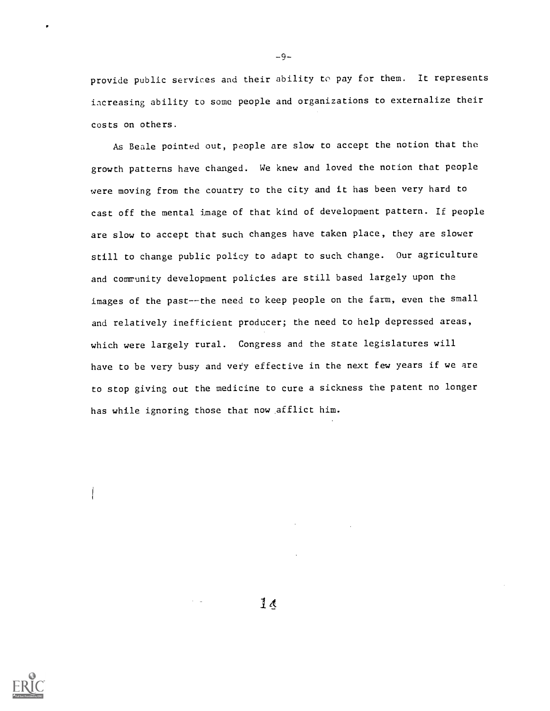provide public services and their ability to pay for them. It represents increasing ability to some people and organizations to externalize their costs on others.

-9-

As Beale pointed out, people are slow to accept the notion that the growth patterns have changed. We knew and loved the notion that people were moving from the country to the city and it has been very hard to cast off the mental image of that kind of development pattern. If people are slow to accept that such changes have taken place, they are slower still to change public policy to adapt to such change. Our agriculture and community development policies are still based largely upon the images of the past--the need to keep people on the farm, even the small and relatively inefficient producer; the need to help depressed areas, which were largely rural. Congress and the state legislatures will have to be very busy and very effective in the next few years if we are to stop giving out the medicine to cure a sickness the patent no longer has while ignoring those that now afflict him.